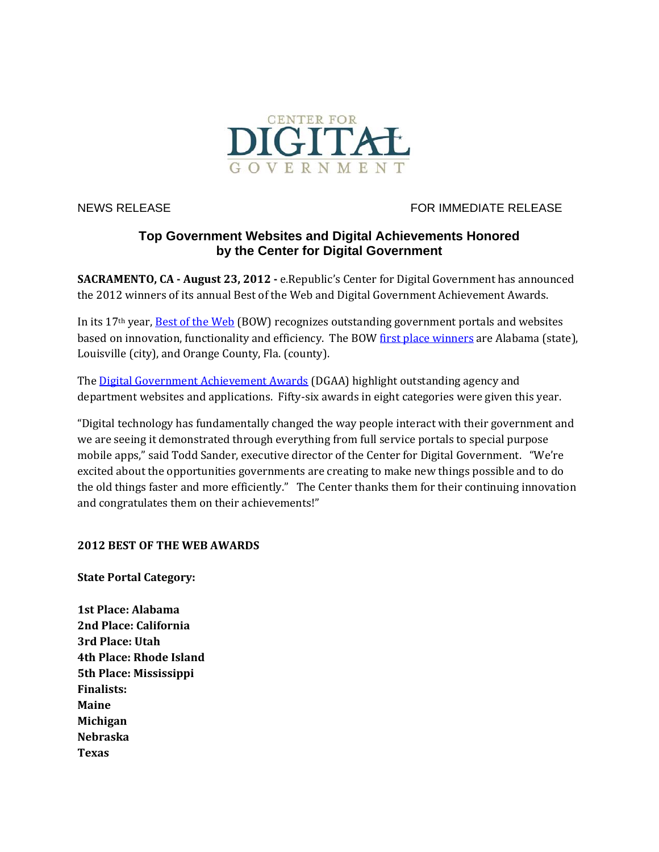

NEWS RELEASE FOR IMMEDIATE RELEASE

# **Top Government Websites and Digital Achievements Honored by the Center for Digital Government**

**SACRAMENTO, CA** - August 23, 2012 - e.Republic's Center for Digital Government has announced the 2012 winners of its annual Best of the Web and Digital Government Achievement Awards.

In its  $17<sup>th</sup>$  year, <u>Best of the Web</u> (BOW) recognizes outstanding government portals and websites based on innovation, functionality and efficiency. The BOW first place winners are Alabama (state), Louisville (city), and Orange County, Fla. (county).

The Digital Government Achievement Awards (DGAA) highlight outstanding agency and department websites and applications. Fifty-six awards in eight categories were given this year.

"Digital technology has fundamentally changed the way people interact with their government and we are seeing it demonstrated through everything from full service portals to special purpose mobile apps," said Todd Sander, executive director of the Center for Digital Government. "We're excited about the opportunities governments are creating to make new things possible and to do the old things faster and more efficiently." The Center thanks them for their continuing innovation and congratulates them on their achievements!"

# **2012 BEST OF THE WEB AWARDS**

**State Portal Category:**

**1st Place: Alabama 2nd Place: California 3rd Place: Utah 4th Place: Rhode Island 5th Place: Mississippi Finalists: Maine Michigan Nebraska Texas**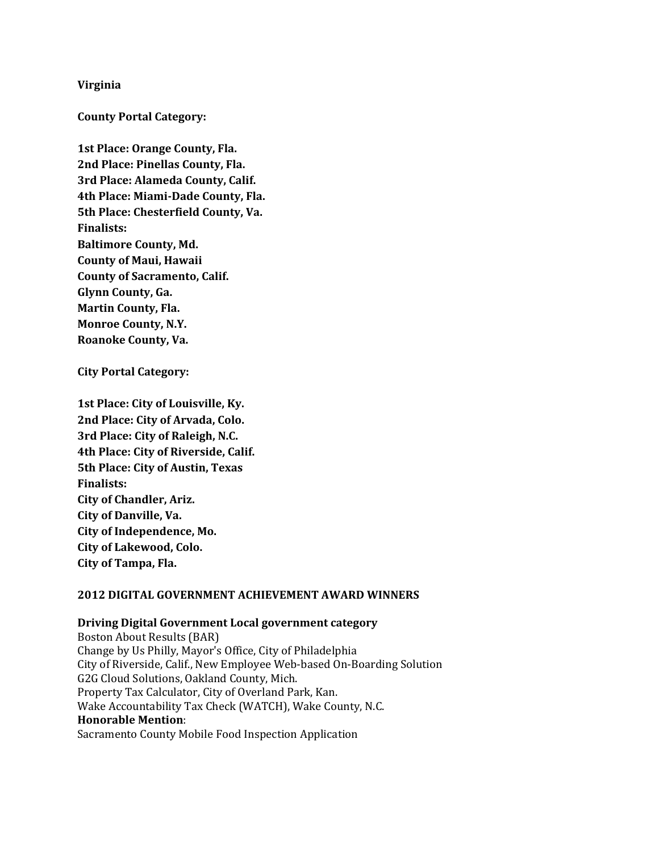## **Virginia**

**County Portal Category:**

**1st Place: Orange County, Fla. 2nd Place: Pinellas County, Fla. 3rd Place: Alameda County, Calif. 4th Place: Miami‐Dade County, Fla. 5th Place: Chesterfield County, Va. Finalists: Baltimore County, Md. County of Maui, Hawaii County of Sacramento, Calif. Glynn County, Ga. Martin County, Fla. Monroe County, N.Y. Roanoke County, Va.**

**City Portal Category:**

**1st Place: City of Louisville, Ky. 2nd Place: City of Arvada, Colo. 3rd Place: City of Raleigh, N.C. 4th Place: City of Riverside, Calif. 5th Place: City of Austin, Texas Finalists: City of Chandler, Ariz. City of Danville, Va. City of Independence, Mo. City of Lakewood, Colo. City of Tampa, Fla.**

## **2012 DIGITAL GOVERNMENT ACHIEVEMENT AWARD WINNERS**

# **Driving Digital Government Local government category**

Boston About Results (BAR) Change by Us Philly, Mayor's Office, City of Philadelphia City of Riverside, Calif., New Employee Web-based On-Boarding Solution G2G Cloud Solutions, Oakland County, Mich. Property Tax Calculator, City of Overland Park, Kan. Wake Accountability Tax Check (WATCH), Wake County, N.C. **Honorable Mention**: Sacramento County Mobile Food Inspection Application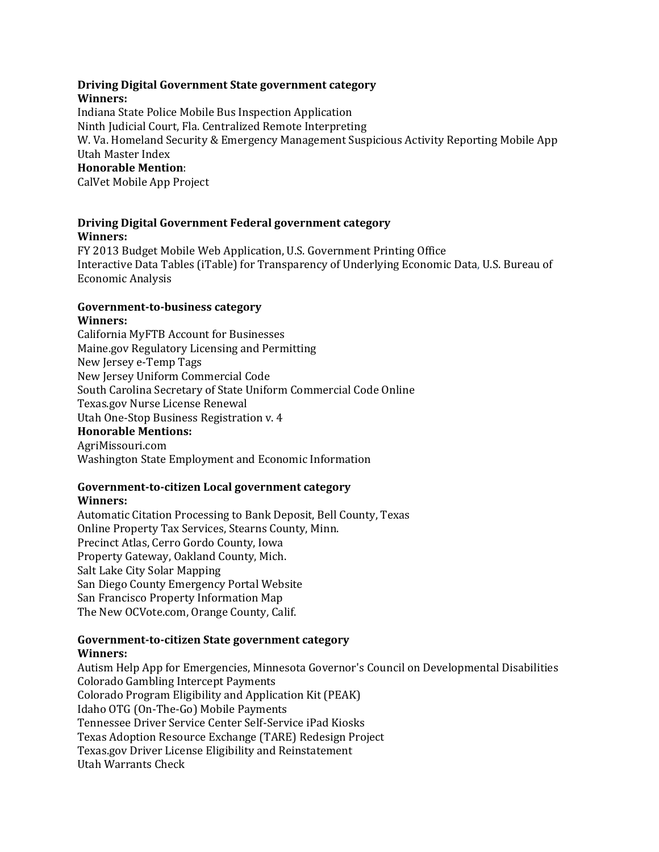#### **Driving Digital Government State government category Winners:**

Indiana State Police Mobile Bus Inspection Application Ninth Judicial Court, Fla. Centralized Remote Interpreting W. Va. Homeland Security & Emergency Management Suspicious Activity Reporting Mobile App Utah Master Index **Honorable Mention**: 

CalVet Mobile App Project

# **Driving Digital Government Federal government category Winners:**

FY 2013 Budget Mobile Web Application, U.S. Government Printing Office Interactive Data Tables (iTable) for Transparency of Underlying Economic Data, U.S. Bureau of Economic Analysis 

#### **Government‐to‐business category Winners:**

California MyFTB Account for Businesses Maine.gov Regulatory Licensing and Permitting New Jersey e‐Temp Tags New Jersey Uniform Commercial Code South Carolina Secretary of State Uniform Commercial Code Online Texas.gov Nurse License Renewal Utah One-Stop Business Registration v. 4 **Honorable Mentions:** AgriMissouri.com Washington State Employment and Economic Information

# **Government‐to‐citizen Local government category**

## **Winners:**

Automatic Citation Processing to Bank Deposit, Bell County, Texas Online Property Tax Services, Stearns County, Minn. Precinct Atlas, Cerro Gordo County, Iowa Property Gateway, Oakland County, Mich. Salt Lake City Solar Mapping San Diego County Emergency Portal Website San Francisco Property Information Map The New OCVote.com, Orange County, Calif.

#### **Government‐to‐citizen State government category Winners:**

Autism Help App for Emergencies, Minnesota Governor's Council on Developmental Disabilities Colorado Gambling Intercept Payments Colorado Program Eligibility and Application Kit (PEAK) Idaho OTG (On-The-Go) Mobile Payments Tennessee Driver Service Center Self-Service iPad Kiosks Texas Adoption Resource Exchange (TARE) Redesign Project Texas.gov Driver License Eligibility and Reinstatement Utah Warrants Check